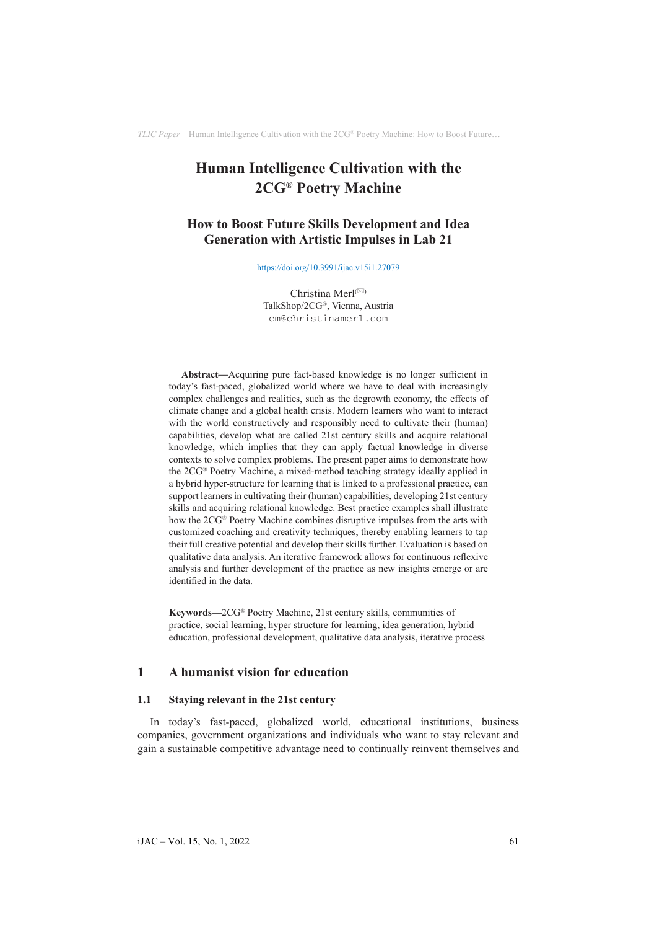# **Human Intelligence Cultivation with the 2CG® Poetry Machine**

# **How to Boost Future Skills Development and Idea Generation with Artistic Impulses in Lab 21**

<https://doi.org/10.3991/ijac.v15i1.27079>

Christina Merl $^{(\boxtimes)}$ TalkShop/2CG®, Vienna, Austria [cm@christinamerl.com](mailto:cm@christinamerl.com)

**Abstract—**Acquiring pure fact-based knowledge is no longer sufficient in today's fast-paced, globalized world where we have to deal with increasingly complex challenges and realities, such as the degrowth economy, the effects of climate change and a global health crisis. Modern learners who want to interact with the world constructively and responsibly need to cultivate their (human) capabilities, develop what are called 21st century skills and acquire relational knowledge, which implies that they can apply factual knowledge in diverse contexts to solve complex problems. The present paper aims to demonstrate how the 2CG® Poetry Machine, a mixed-method teaching strategy ideally applied in a hybrid hyper-structure for learning that is linked to a professional practice, can support learners in cultivating their (human) capabilities, developing 21st century skills and acquiring relational knowledge. Best practice examples shall illustrate how the 2CG® Poetry Machine combines disruptive impulses from the arts with customized coaching and creativity techniques, thereby enabling learners to tap their full creative potential and develop their skills further. Evaluation is based on qualitative data analysis. An iterative framework allows for continuous reflexive analysis and further development of the practice as new insights emerge or are identified in the data.

**Keywords—**2CG® Poetry Machine, 21st century skills, communities of practice, social learning, hyper structure for learning, idea generation, hybrid education, professional development, qualitative data analysis, iterative process

### **1 A humanist vision for education**

#### **1.1 Staying relevant in the 21st century**

In today's fast-paced, globalized world, educational institutions, business companies, government organizations and individuals who want to stay relevant and gain a sustainable competitive advantage need to continually reinvent themselves and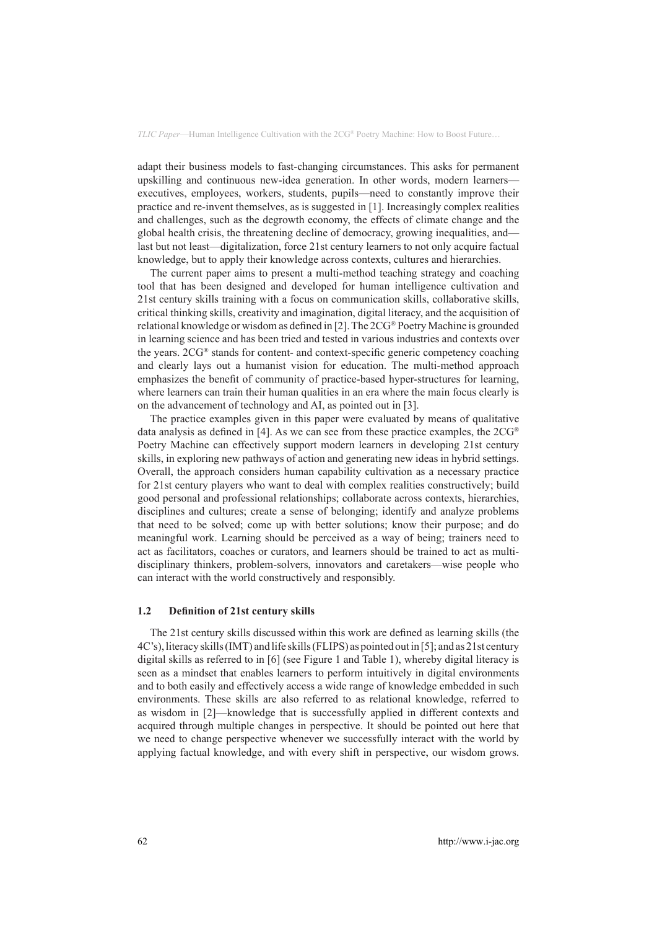adapt their business models to fast-changing circumstances. This asks for permanent upskilling and continuous new-idea generation. In other words, modern learners executives, employees, workers, students, pupils—need to constantly improve their practice and re-invent themselves, as is suggested in [1]. Increasingly complex realities and challenges, such as the degrowth economy, the effects of climate change and the global health crisis, the threatening decline of democracy, growing inequalities, and last but not least—digitalization, force 21st century learners to not only acquire factual knowledge, but to apply their knowledge across contexts, cultures and hierarchies.

The current paper aims to present a multi-method teaching strategy and coaching tool that has been designed and developed for human intelligence cultivation and 21st century skills training with a focus on communication skills, collaborative skills, critical thinking skills, creativity and imagination, digital literacy, and the acquisition of relational knowledge or wisdom as defined in [2]. The 2CG® Poetry Machine is grounded in learning science and has been tried and tested in various industries and contexts over the years. 2CG® stands for content- and context-specific generic competency coaching and clearly lays out a humanist vision for education. The multi-method approach emphasizes the benefit of community of practice-based hyper-structures for learning, where learners can train their human qualities in an era where the main focus clearly is on the advancement of technology and AI, as pointed out in [3].

The practice examples given in this paper were evaluated by means of qualitative data analysis as defined in [4]. As we can see from these practice examples, the 2CG® Poetry Machine can effectively support modern learners in developing 21st century skills, in exploring new pathways of action and generating new ideas in hybrid settings. Overall, the approach considers human capability cultivation as a necessary practice for 21st century players who want to deal with complex realities constructively; build good personal and professional relationships; collaborate across contexts, hierarchies, disciplines and cultures; create a sense of belonging; identify and analyze problems that need to be solved; come up with better solutions; know their purpose; and do meaningful work. Learning should be perceived as a way of being; trainers need to act as facilitators, coaches or curators, and learners should be trained to act as multidisciplinary thinkers, problem-solvers, innovators and caretakers—wise people who can interact with the world constructively and responsibly.

#### **1.2 Definition of 21st century skills**

The 21st century skills discussed within this work are defined as learning skills (the 4C's), literacy skills (IMT) and life skills (FLIPS) as pointed out in [5]; and as 21st century digital skills as referred to in [6] (see Figure 1 and Table 1), whereby digital literacy is seen as a mindset that enables learners to perform intuitively in digital environments and to both easily and effectively access a wide range of knowledge embedded in such environments. These skills are also referred to as relational knowledge, referred to as wisdom in [2]—knowledge that is successfully applied in different contexts and acquired through multiple changes in perspective. It should be pointed out here that we need to change perspective whenever we successfully interact with the world by applying factual knowledge, and with every shift in perspective, our wisdom grows.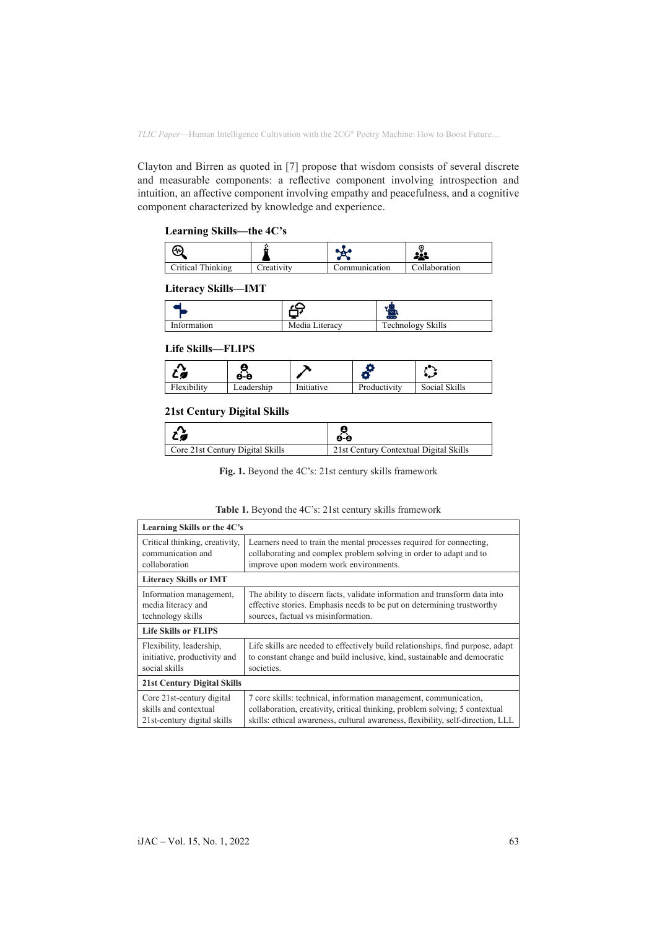Clayton and Birren as quoted in [7] propose that wisdom consists of several discrete and measurable components: a reflective component involving introspection and intuition, an affective component involving empathy and peacefulness, and a cognitive component characterized by knowledge and experience.

### **Learning Skills—the 4C's**

| ιл.               |                   |               |               |
|-------------------|-------------------|---------------|---------------|
| Critical Thinking | <b>Treativity</b> | `ommunication | Collaboration |

### **Literacy Skills—IMT**

|             |                | æ                             |
|-------------|----------------|-------------------------------|
| Information | Media Literacy | <b>Technology Skills</b><br>ິ |

#### **Life Skills—FLIPS**

|             | 8-e        |            |              | ررد           |
|-------------|------------|------------|--------------|---------------|
| Flexibility | Leadership | Initiative | Productivity | Social Skills |

### **21st Century Digital Skills**

| $\mathcal{L}$                    | é-è                                    |
|----------------------------------|----------------------------------------|
| Core 21st Century Digital Skills | 21st Century Contextual Digital Skills |

**Fig. 1.** Beyond the 4C's: 21st century skills framework

| Learning Skills or the 4C's        |                                                                                 |  |
|------------------------------------|---------------------------------------------------------------------------------|--|
| Critical thinking, creativity,     | Learners need to train the mental processes required for connecting,            |  |
| communication and                  | collaborating and complex problem solving in order to adapt and to              |  |
| collaboration                      | improve upon modern work environments.                                          |  |
| <b>Literacy Skills or IMT</b>      |                                                                                 |  |
| Information management,            | The ability to discern facts, validate information and transform data into      |  |
| media literacy and                 | effective stories. Emphasis needs to be put on determining trustworthy          |  |
| technology skills                  | sources, factual vs misinformation.                                             |  |
| <b>Life Skills or FLIPS</b>        |                                                                                 |  |
| Flexibility, leadership,           | Life skills are needed to effectively build relationships, find purpose, adapt  |  |
| initiative, productivity and       | to constant change and build inclusive, kind, sustainable and democratic        |  |
| social skills                      | societies.                                                                      |  |
| <b>21st Century Digital Skills</b> |                                                                                 |  |
| Core 21st-century digital          | 7 core skills: technical, information management, communication,                |  |
| skills and contextual              | collaboration, creativity, critical thinking, problem solving; 5 contextual     |  |
| 21st-century digital skills        | skills: ethical awareness, cultural awareness, flexibility, self-direction, LLL |  |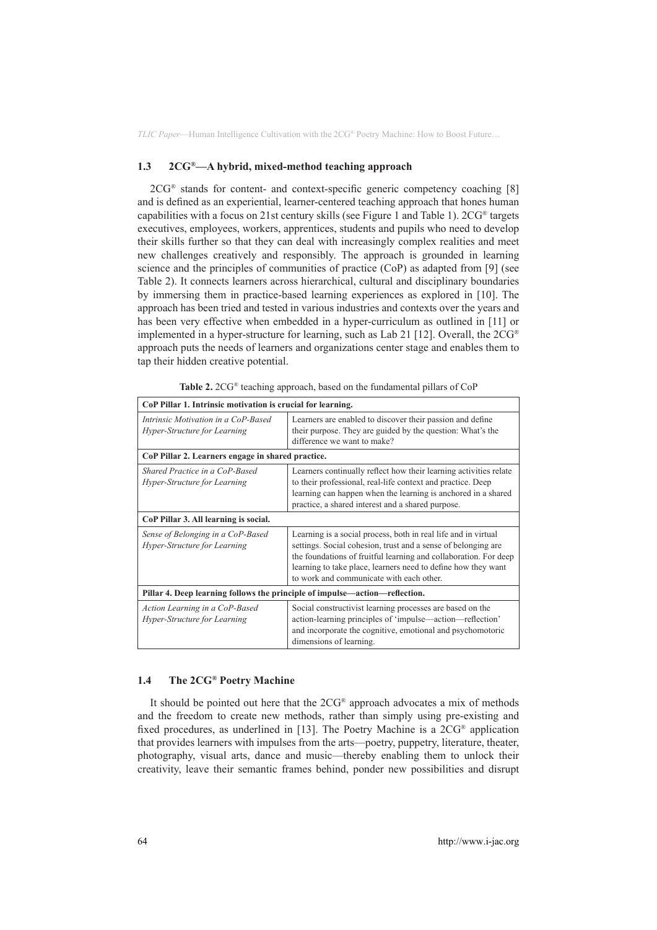#### **1.3 2CG®—A hybrid, mixed-method teaching approach**

2CG® stands for content- and context-specific generic competency coaching [8] and is defined as an experiential, learner-centered teaching approach that hones human capabilities with a focus on 21st century skills (see Figure 1 and Table 1). 2CG® targets executives, employees, workers, apprentices, students and pupils who need to develop their skills further so that they can deal with increasingly complex realities and meet new challenges creatively and responsibly. The approach is grounded in learning science and the principles of communities of practice (CoP) as adapted from [9] (see Table 2). It connects learners across hierarchical, cultural and disciplinary boundaries by immersing them in practice-based learning experiences as explored in [10]. The approach has been tried and tested in various industries and contexts over the years and has been very effective when embedded in a hyper-curriculum as outlined in [11] or implemented in a hyper-structure for learning, such as Lab 21 [12]. Overall, the  $2CG^{\circledast}$ approach puts the needs of learners and organizations center stage and enables them to tap their hidden creative potential.

| Table 2. 2CG® teaching approach, based on the fundamental pillars of CoP |  |  |
|--------------------------------------------------------------------------|--|--|
|--------------------------------------------------------------------------|--|--|

| CoP Pillar 1. Intrinsic motivation is crucial for learning.                 |                                                                                                                                                                                                                                                                                                                  |  |
|-----------------------------------------------------------------------------|------------------------------------------------------------------------------------------------------------------------------------------------------------------------------------------------------------------------------------------------------------------------------------------------------------------|--|
| Intrinsic Motivation in a CoP-Based<br>Hyper-Structure for Learning         | Learners are enabled to discover their passion and define<br>their purpose. They are guided by the question: What's the<br>difference we want to make?                                                                                                                                                           |  |
| CoP Pillar 2. Learners engage in shared practice.                           |                                                                                                                                                                                                                                                                                                                  |  |
| Shared Practice in a CoP-Based<br>Hyper-Structure for Learning              | Learners continually reflect how their learning activities relate<br>to their professional, real-life context and practice. Deep<br>learning can happen when the learning is anchored in a shared<br>practice, a shared interest and a shared purpose.                                                           |  |
| CoP Pillar 3. All learning is social.                                       |                                                                                                                                                                                                                                                                                                                  |  |
| Sense of Belonging in a CoP-Based<br>Hyper-Structure for Learning           | Learning is a social process, both in real life and in virtual<br>settings. Social cohesion, trust and a sense of belonging are<br>the foundations of fruitful learning and collaboration. For deep<br>learning to take place, learners need to define how they want<br>to work and communicate with each other. |  |
| Pillar 4. Deep learning follows the principle of impulse—action—reflection. |                                                                                                                                                                                                                                                                                                                  |  |
| Action Learning in a CoP-Based<br>Hyper-Structure for Learning              | Social constructivist learning processes are based on the<br>action-learning principles of 'impulse—action—reflection'<br>and incorporate the cognitive, emotional and psychomotoric<br>dimensions of learning.                                                                                                  |  |

#### **1.4 The 2CG® Poetry Machine**

It should be pointed out here that the 2CG® approach advocates a mix of methods and the freedom to create new methods, rather than simply using pre-existing and fixed procedures, as underlined in [13]. The Poetry Machine is a 2CG® application that provides learners with impulses from the arts—poetry, puppetry, literature, theater, photography, visual arts, dance and music—thereby enabling them to unlock their creativity, leave their semantic frames behind, ponder new possibilities and disrupt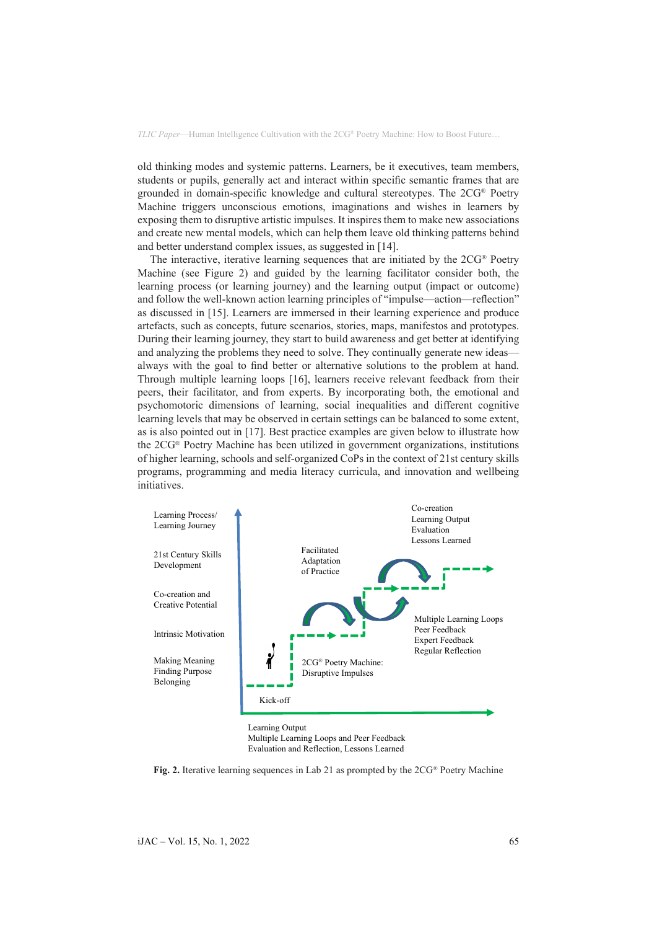old thinking modes and systemic patterns. Learners, be it executives, team members, students or pupils, generally act and interact within specific semantic frames that are grounded in domain-specific knowledge and cultural stereotypes. The 2CG® Poetry Machine triggers unconscious emotions, imaginations and wishes in learners by exposing them to disruptive artistic impulses. It inspires them to make new associations and create new mental models, which can help them leave old thinking patterns behind and better understand complex issues, as suggested in [14].

The interactive, iterative learning sequences that are initiated by the 2CG® Poetry Machine (see Figure 2) and guided by the learning facilitator consider both, the learning process (or learning journey) and the learning output (impact or outcome) and follow the well-known action learning principles of "impulse—action—reflection" as discussed in [15]. Learners are immersed in their learning experience and produce artefacts, such as concepts, future scenarios, stories, maps, manifestos and prototypes. During their learning journey, they start to build awareness and get better at identifying and analyzing the problems they need to solve. They continually generate new ideas always with the goal to find better or alternative solutions to the problem at hand. Through multiple learning loops [16], learners receive relevant feedback from their peers, their facilitator, and from experts. By incorporating both, the emotional and psychomotoric dimensions of learning, social inequalities and different cognitive learning levels that may be observed in certain settings can be balanced to some extent, as is also pointed out in [17]. Best practice examples are given below to illustrate how the 2CG® Poetry Machine has been utilized in government organizations, institutions of higher learning, schools and self-organized CoPs in the context of 21st century skills programs, programming and media literacy curricula, and innovation and wellbeing initiatives.



Multiple Learning Loops and Peer Feedback Evaluation and Reflection, Lessons Learned

**Fig. 2.** Iterative learning sequences in Lab 21 as prompted by the 2CG® Poetry Machine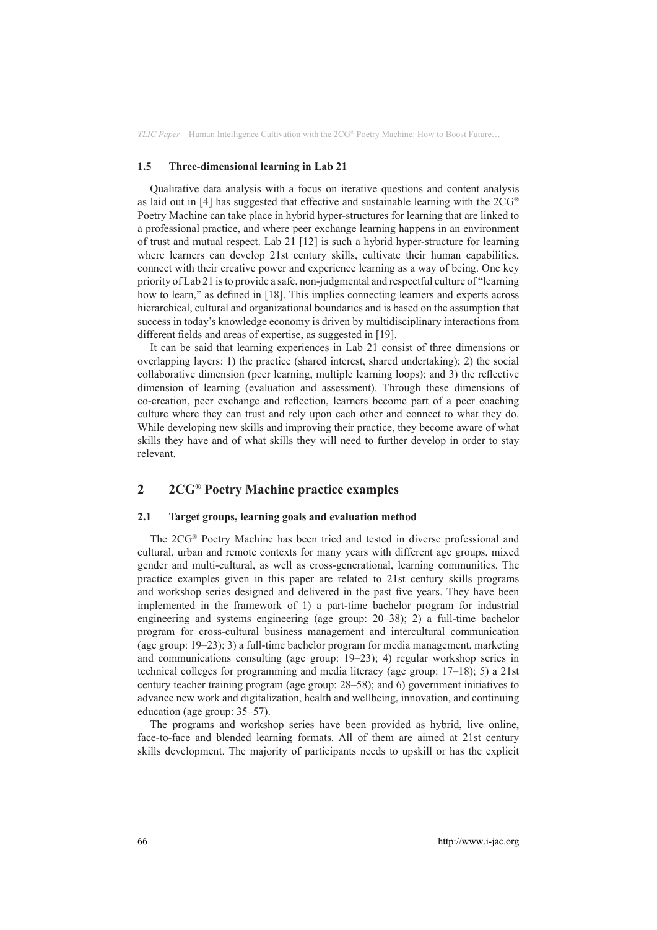#### **1.5 Three-dimensional learning in Lab 21**

Qualitative data analysis with a focus on iterative questions and content analysis as laid out in [4] has suggested that effective and sustainable learning with the  $2<sup>°</sup>$ Poetry Machine can take place in hybrid hyper-structures for learning that are linked to a professional practice, and where peer exchange learning happens in an environment of trust and mutual respect. Lab 21 [12] is such a hybrid hyper-structure for learning where learners can develop 21st century skills, cultivate their human capabilities, connect with their creative power and experience learning as a way of being. One key priority of Lab 21 is to provide a safe, non-judgmental and respectful culture of "learning how to learn," as defined in [18]. This implies connecting learners and experts across hierarchical, cultural and organizational boundaries and is based on the assumption that success in today's knowledge economy is driven by multidisciplinary interactions from different fields and areas of expertise, as suggested in [19].

It can be said that learning experiences in Lab 21 consist of three dimensions or overlapping layers: 1) the practice (shared interest, shared undertaking); 2) the social collaborative dimension (peer learning, multiple learning loops); and 3) the reflective dimension of learning (evaluation and assessment). Through these dimensions of co-creation, peer exchange and reflection, learners become part of a peer coaching culture where they can trust and rely upon each other and connect to what they do. While developing new skills and improving their practice, they become aware of what skills they have and of what skills they will need to further develop in order to stay relevant.

# **2 2CG® Poetry Machine practice examples**

#### **2.1 Target groups, learning goals and evaluation method**

The 2CG® Poetry Machine has been tried and tested in diverse professional and cultural, urban and remote contexts for many years with different age groups, mixed gender and multi-cultural, as well as cross-generational, learning communities. The practice examples given in this paper are related to 21st century skills programs and workshop series designed and delivered in the past five years. They have been implemented in the framework of 1) a part-time bachelor program for industrial engineering and systems engineering (age group: 20–38); 2) a full-time bachelor program for cross-cultural business management and intercultural communication (age group: 19–23); 3) a full-time bachelor program for media management, marketing and communications consulting (age group: 19–23); 4) regular workshop series in technical colleges for programming and media literacy (age group: 17–18); 5) a 21st century teacher training program (age group: 28–58); and 6) government initiatives to advance new work and digitalization, health and wellbeing, innovation, and continuing education (age group: 35–57).

The programs and workshop series have been provided as hybrid, live online, face-to-face and blended learning formats. All of them are aimed at 21st century skills development. The majority of participants needs to upskill or has the explicit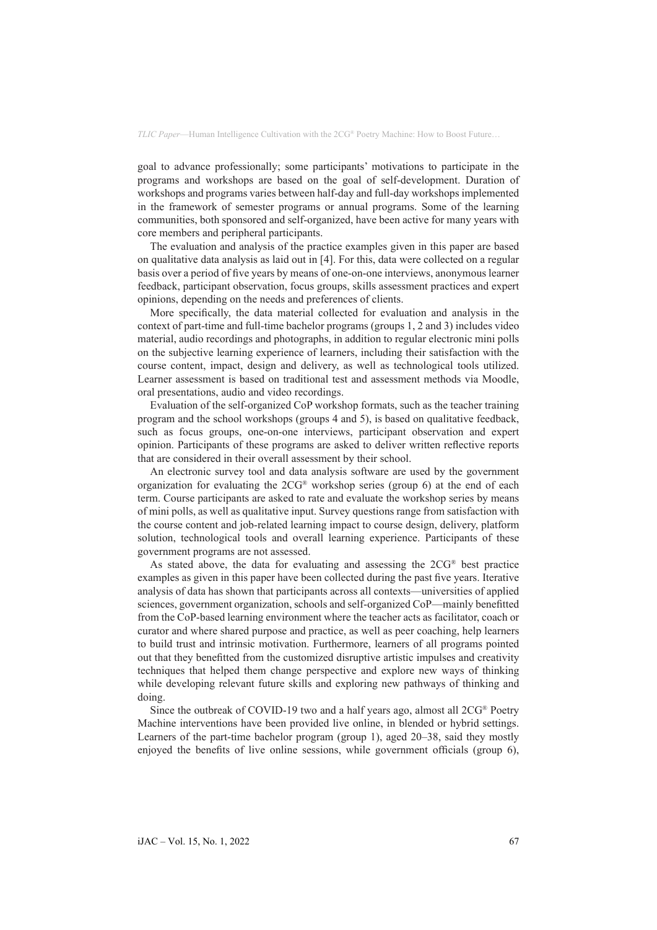goal to advance professionally; some participants' motivations to participate in the programs and workshops are based on the goal of self-development. Duration of workshops and programs varies between half-day and full-day workshops implemented in the framework of semester programs or annual programs. Some of the learning communities, both sponsored and self-organized, have been active for many years with core members and peripheral participants.

The evaluation and analysis of the practice examples given in this paper are based on qualitative data analysis as laid out in [4]. For this, data were collected on a regular basis over a period of five years by means of one-on-one interviews, anonymous learner feedback, participant observation, focus groups, skills assessment practices and expert opinions, depending on the needs and preferences of clients.

More specifically, the data material collected for evaluation and analysis in the context of part-time and full-time bachelor programs (groups 1, 2 and 3) includes video material, audio recordings and photographs, in addition to regular electronic mini polls on the subjective learning experience of learners, including their satisfaction with the course content, impact, design and delivery, as well as technological tools utilized. Learner assessment is based on traditional test and assessment methods via Moodle, oral presentations, audio and video recordings.

Evaluation of the self-organized CoP workshop formats, such as the teacher training program and the school workshops (groups 4 and 5), is based on qualitative feedback, such as focus groups, one-on-one interviews, participant observation and expert opinion. Participants of these programs are asked to deliver written reflective reports that are considered in their overall assessment by their school.

An electronic survey tool and data analysis software are used by the government organization for evaluating the 2CG® workshop series (group 6) at the end of each term. Course participants are asked to rate and evaluate the workshop series by means of mini polls, as well as qualitative input. Survey questions range from satisfaction with the course content and job-related learning impact to course design, delivery, platform solution, technological tools and overall learning experience. Participants of these government programs are not assessed.

As stated above, the data for evaluating and assessing the 2CG® best practice examples as given in this paper have been collected during the past five years. Iterative analysis of data has shown that participants across all contexts—universities of applied sciences, government organization, schools and self-organized CoP—mainly benefitted from the CoP-based learning environment where the teacher acts as facilitator, coach or curator and where shared purpose and practice, as well as peer coaching, help learners to build trust and intrinsic motivation. Furthermore, learners of all programs pointed out that they benefitted from the customized disruptive artistic impulses and creativity techniques that helped them change perspective and explore new ways of thinking while developing relevant future skills and exploring new pathways of thinking and doing.

Since the outbreak of COVID-19 two and a half years ago, almost all 2CG® Poetry Machine interventions have been provided live online, in blended or hybrid settings. Learners of the part-time bachelor program (group 1), aged 20–38, said they mostly enjoyed the benefits of live online sessions, while government officials (group 6),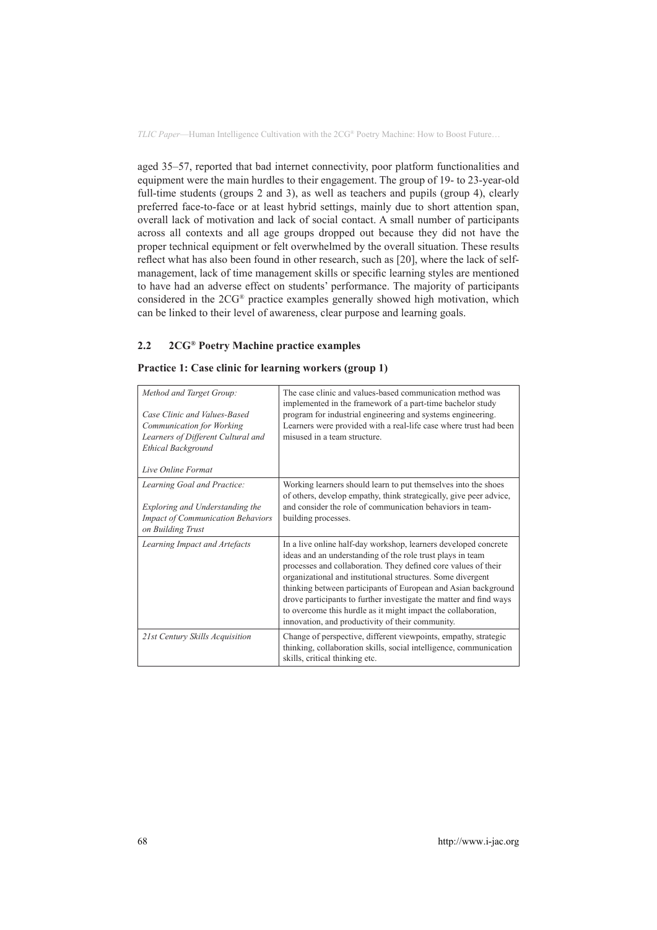aged 35–57, reported that bad internet connectivity, poor platform functionalities and equipment were the main hurdles to their engagement. The group of 19- to 23-year-old full-time students (groups 2 and 3), as well as teachers and pupils (group 4), clearly preferred face-to-face or at least hybrid settings, mainly due to short attention span, overall lack of motivation and lack of social contact. A small number of participants across all contexts and all age groups dropped out because they did not have the proper technical equipment or felt overwhelmed by the overall situation. These results reflect what has also been found in other research, such as [20], where the lack of selfmanagement, lack of time management skills or specific learning styles are mentioned to have had an adverse effect on students' performance. The majority of participants considered in the 2CG® practice examples generally showed high motivation, which can be linked to their level of awareness, clear purpose and learning goals.

### **2.2 2CG® Poetry Machine practice examples**

| Method and Target Group:<br>Case Clinic and Values-Based<br>Communication for Working<br>Learners of Different Cultural and<br><b>Ethical Background</b><br>Live Online Format | The case clinic and values-based communication method was<br>implemented in the framework of a part-time bachelor study<br>program for industrial engineering and systems engineering.<br>Learners were provided with a real-life case where trust had been<br>misused in a team structure.                                                                                                                                                                                                                                 |
|--------------------------------------------------------------------------------------------------------------------------------------------------------------------------------|-----------------------------------------------------------------------------------------------------------------------------------------------------------------------------------------------------------------------------------------------------------------------------------------------------------------------------------------------------------------------------------------------------------------------------------------------------------------------------------------------------------------------------|
| Learning Goal and Practice:<br>Exploring and Understanding the<br><b>Impact of Communication Behaviors</b><br>on Building Trust                                                | Working learners should learn to put themselves into the shoes<br>of others, develop empathy, think strategically, give peer advice,<br>and consider the role of communication behaviors in team-<br>building processes.                                                                                                                                                                                                                                                                                                    |
| Learning Impact and Artefacts                                                                                                                                                  | In a live online half-day workshop, learners developed concrete<br>ideas and an understanding of the role trust plays in team<br>processes and collaboration. They defined core values of their<br>organizational and institutional structures. Some divergent<br>thinking between participants of European and Asian background<br>drove participants to further investigate the matter and find ways<br>to overcome this hurdle as it might impact the collaboration,<br>innovation, and productivity of their community. |
| 21st Century Skills Acquisition                                                                                                                                                | Change of perspective, different viewpoints, empathy, strategic<br>thinking, collaboration skills, social intelligence, communication<br>skills, critical thinking etc.                                                                                                                                                                                                                                                                                                                                                     |

### **Practice 1: Case clinic for learning workers (group 1)**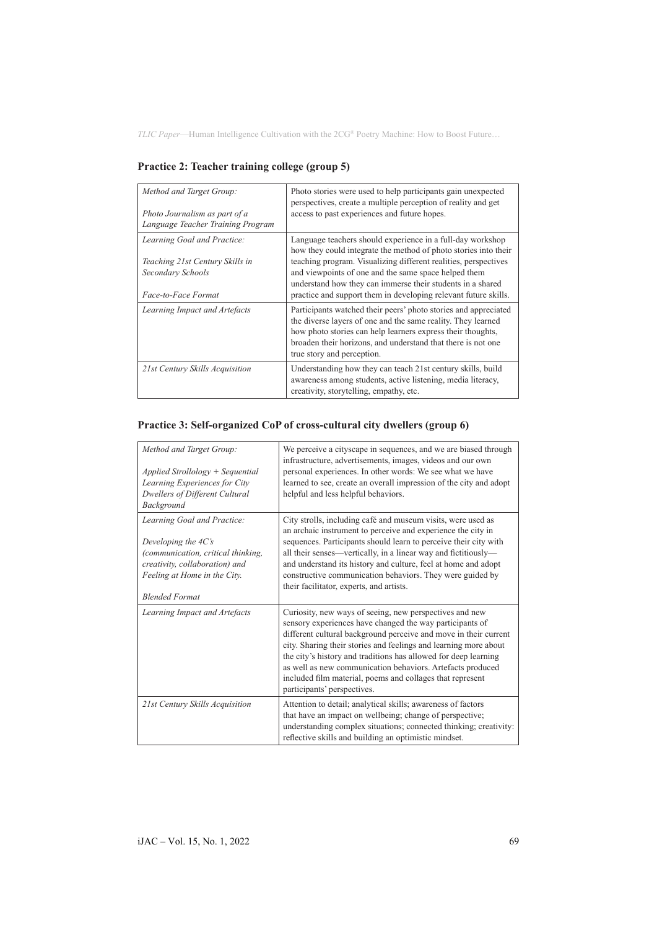| Method and Target Group:<br>Photo Journalism as part of a<br>Language Teacher Training Program             | Photo stories were used to help participants gain unexpected<br>perspectives, create a multiple perception of reality and get<br>access to past experiences and future hopes.                                                                                                                                                                                                             |
|------------------------------------------------------------------------------------------------------------|-------------------------------------------------------------------------------------------------------------------------------------------------------------------------------------------------------------------------------------------------------------------------------------------------------------------------------------------------------------------------------------------|
| Learning Goal and Practice:<br>Teaching 21st Century Skills in<br>Secondary Schools<br>Face-to-Face Format | Language teachers should experience in a full-day workshop<br>how they could integrate the method of photo stories into their<br>teaching program. Visualizing different realities, perspectives<br>and viewpoints of one and the same space helped them<br>understand how they can immerse their students in a shared<br>practice and support them in developing relevant future skills. |
| Learning Impact and Artefacts                                                                              | Participants watched their peers' photo stories and appreciated<br>the diverse layers of one and the same reality. They learned<br>how photo stories can help learners express their thoughts,<br>broaden their horizons, and understand that there is not one<br>true story and perception.                                                                                              |
| 21st Century Skills Acquisition                                                                            | Understanding how they can teach 21st century skills, build<br>awareness among students, active listening, media literacy,<br>creativity, storytelling, empathy, etc.                                                                                                                                                                                                                     |

**Practice 2: Teacher training college (group 5)**

# **Practice 3: Self-organized CoP of cross-cultural city dwellers (group 6)**

| Method and Target Group:<br>$Applied Strollology + Sequential$<br>Learning Experiences for City<br>Dwellers of Different Cultural<br>Background                                             | We perceive a cityscape in sequences, and we are biased through<br>infrastructure, advertisements, images, videos and our own<br>personal experiences. In other words: We see what we have<br>learned to see, create an overall impression of the city and adopt<br>helpful and less helpful behaviors.                                                                                                                                                                                  |
|---------------------------------------------------------------------------------------------------------------------------------------------------------------------------------------------|------------------------------------------------------------------------------------------------------------------------------------------------------------------------------------------------------------------------------------------------------------------------------------------------------------------------------------------------------------------------------------------------------------------------------------------------------------------------------------------|
| Learning Goal and Practice:<br>Developing the $4C\ddot{s}$<br>(communication, critical thinking,<br>creativity, collaboration) and<br>Feeling at Home in the City.<br><b>Blended Format</b> | City strolls, including café and museum visits, were used as<br>an archaic instrument to perceive and experience the city in<br>sequences. Participants should learn to perceive their city with<br>all their senses—vertically, in a linear way and fictitiously—<br>and understand its history and culture, feel at home and adopt<br>constructive communication behaviors. They were guided by<br>their facilitator, experts, and artists.                                            |
| Learning Impact and Artefacts                                                                                                                                                               | Curiosity, new ways of seeing, new perspectives and new<br>sensory experiences have changed the way participants of<br>different cultural background perceive and move in their current<br>city. Sharing their stories and feelings and learning more about<br>the city's history and traditions has allowed for deep learning<br>as well as new communication behaviors. Artefacts produced<br>included film material, poems and collages that represent<br>participants' perspectives. |
| 21st Century Skills Acquisition                                                                                                                                                             | Attention to detail; analytical skills; awareness of factors<br>that have an impact on wellbeing; change of perspective;<br>understanding complex situations; connected thinking; creativity:<br>reflective skills and building an optimistic mindset.                                                                                                                                                                                                                                   |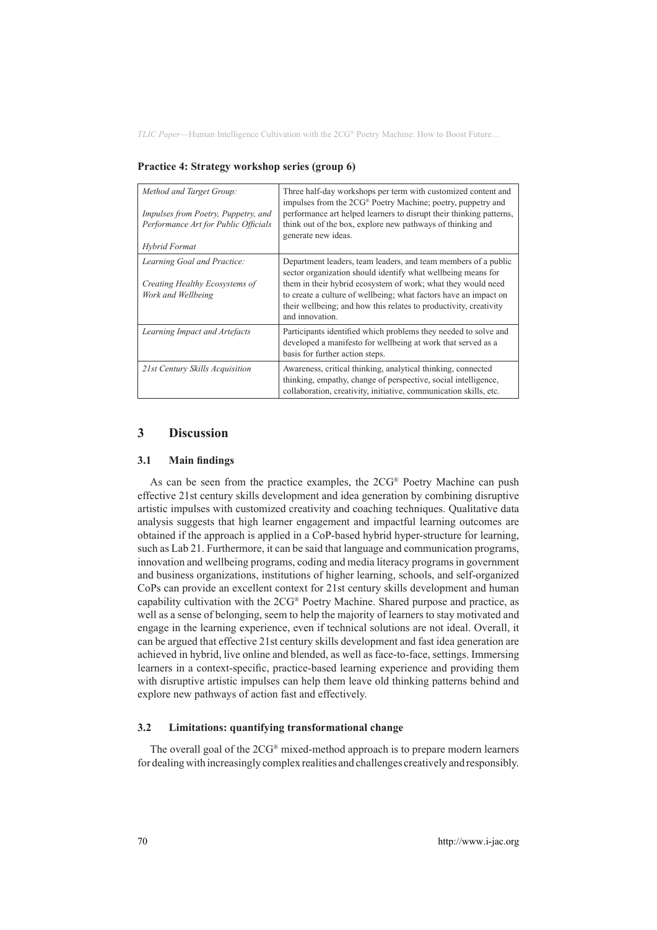| Method and Target Group:<br><i>Impulses from Poetry, Puppetry, and</i><br>Performance Art for Public Officials<br>Hybrid Format | Three half-day workshops per term with customized content and<br>impulses from the 2CG® Poetry Machine; poetry, puppetry and<br>performance art helped learners to disrupt their thinking patterns,<br>think out of the box, explore new pathways of thinking and<br>generate new ideas.                                                                   |
|---------------------------------------------------------------------------------------------------------------------------------|------------------------------------------------------------------------------------------------------------------------------------------------------------------------------------------------------------------------------------------------------------------------------------------------------------------------------------------------------------|
| Learning Goal and Practice:<br>Creating Healthy Ecosystems of<br>Work and Wellbeing                                             | Department leaders, team leaders, and team members of a public<br>sector organization should identify what wellbeing means for<br>them in their hybrid ecosystem of work; what they would need<br>to create a culture of wellbeing; what factors have an impact on<br>their wellbeing; and how this relates to productivity, creativity<br>and innovation. |
| Learning Impact and Artefacts                                                                                                   | Participants identified which problems they needed to solve and<br>developed a manifesto for wellbeing at work that served as a<br>basis for further action steps.                                                                                                                                                                                         |
| 21st Century Skills Acquisition                                                                                                 | Awareness, critical thinking, analytical thinking, connected<br>thinking, empathy, change of perspective, social intelligence,<br>collaboration, creativity, initiative, communication skills, etc.                                                                                                                                                        |

**Practice 4: Strategy workshop series (group 6)**

### **3 Discussion**

#### **3.1 Main findings**

As can be seen from the practice examples, the 2CG® Poetry Machine can push effective 21st century skills development and idea generation by combining disruptive artistic impulses with customized creativity and coaching techniques. Qualitative data analysis suggests that high learner engagement and impactful learning outcomes are obtained if the approach is applied in a CoP-based hybrid hyper-structure for learning, such as Lab 21. Furthermore, it can be said that language and communication programs, innovation and wellbeing programs, coding and media literacy programs in government and business organizations, institutions of higher learning, schools, and self-organized CoPs can provide an excellent context for 21st century skills development and human capability cultivation with the 2CG® Poetry Machine. Shared purpose and practice, as well as a sense of belonging, seem to help the majority of learners to stay motivated and engage in the learning experience, even if technical solutions are not ideal. Overall, it can be argued that effective 21st century skills development and fast idea generation are achieved in hybrid, live online and blended, as well as face-to-face, settings. Immersing learners in a context-specific, practice-based learning experience and providing them with disruptive artistic impulses can help them leave old thinking patterns behind and explore new pathways of action fast and effectively.

#### **3.2 Limitations: quantifying transformational change**

The overall goal of the  $2CG^{\circ}$  mixed-method approach is to prepare modern learners for dealing with increasingly complex realities and challenges creatively and responsibly.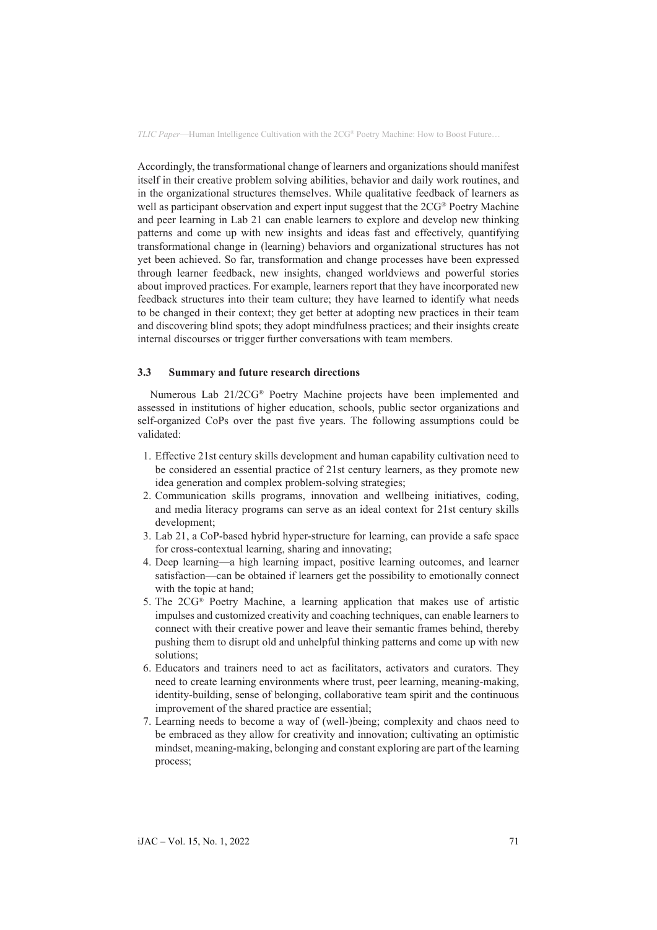Accordingly, the transformational change of learners and organizations should manifest itself in their creative problem solving abilities, behavior and daily work routines, and in the organizational structures themselves. While qualitative feedback of learners as well as participant observation and expert input suggest that the 2CG<sup>®</sup> Poetry Machine and peer learning in Lab 21 can enable learners to explore and develop new thinking patterns and come up with new insights and ideas fast and effectively, quantifying transformational change in (learning) behaviors and organizational structures has not yet been achieved. So far, transformation and change processes have been expressed through learner feedback, new insights, changed worldviews and powerful stories about improved practices. For example, learners report that they have incorporated new feedback structures into their team culture; they have learned to identify what needs to be changed in their context; they get better at adopting new practices in their team and discovering blind spots; they adopt mindfulness practices; and their insights create internal discourses or trigger further conversations with team members.

#### **3.3 Summary and future research directions**

Numerous Lab 21/2CG® Poetry Machine projects have been implemented and assessed in institutions of higher education, schools, public sector organizations and self-organized CoPs over the past five years. The following assumptions could be validated:

- 1. Effective 21st century skills development and human capability cultivation need to be considered an essential practice of 21st century learners, as they promote new idea generation and complex problem-solving strategies;
- 2. Communication skills programs, innovation and wellbeing initiatives, coding, and media literacy programs can serve as an ideal context for 21st century skills development;
- 3. Lab 21, a CoP-based hybrid hyper-structure for learning, can provide a safe space for cross-contextual learning, sharing and innovating;
- 4. Deep learning—a high learning impact, positive learning outcomes, and learner satisfaction—can be obtained if learners get the possibility to emotionally connect with the topic at hand:
- 5. The 2CG® Poetry Machine, a learning application that makes use of artistic impulses and customized creativity and coaching techniques, can enable learners to connect with their creative power and leave their semantic frames behind, thereby pushing them to disrupt old and unhelpful thinking patterns and come up with new solutions;
- 6. Educators and trainers need to act as facilitators, activators and curators. They need to create learning environments where trust, peer learning, meaning-making, identity-building, sense of belonging, collaborative team spirit and the continuous improvement of the shared practice are essential;
- 7. Learning needs to become a way of (well-)being; complexity and chaos need to be embraced as they allow for creativity and innovation; cultivating an optimistic mindset, meaning-making, belonging and constant exploring are part of the learning process;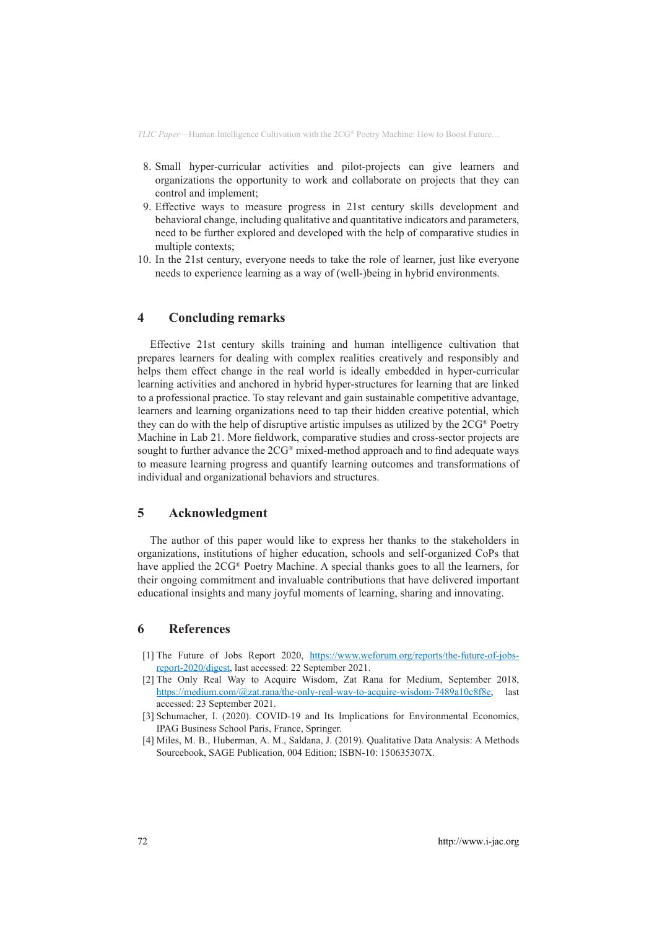- 8. Small hyper-curricular activities and pilot-projects can give learners and organizations the opportunity to work and collaborate on projects that they can control and implement;
- 9. Effective ways to measure progress in 21st century skills development and behavioral change, including qualitative and quantitative indicators and parameters, need to be further explored and developed with the help of comparative studies in multiple contexts;
- 10. In the 21st century, everyone needs to take the role of learner, just like everyone needs to experience learning as a way of (well-)being in hybrid environments.

### **4 Concluding remarks**

Effective 21st century skills training and human intelligence cultivation that prepares learners for dealing with complex realities creatively and responsibly and helps them effect change in the real world is ideally embedded in hyper-curricular learning activities and anchored in hybrid hyper-structures for learning that are linked to a professional practice. To stay relevant and gain sustainable competitive advantage, learners and learning organizations need to tap their hidden creative potential, which they can do with the help of disruptive artistic impulses as utilized by the 2CG® Poetry Machine in Lab 21. More fieldwork, comparative studies and cross-sector projects are sought to further advance the 2CG® mixed-method approach and to find adequate ways to measure learning progress and quantify learning outcomes and transformations of individual and organizational behaviors and structures.

### **5 Acknowledgment**

The author of this paper would like to express her thanks to the stakeholders in organizations, institutions of higher education, schools and self-organized CoPs that have applied the 2CG® Poetry Machine. A special thanks goes to all the learners, for their ongoing commitment and invaluable contributions that have delivered important educational insights and many joyful moments of learning, sharing and innovating.

### **6 References**

- [1] The Future of Jobs Report 2020, [https://www.weforum.org/reports/the-future-of-jobs](https://www.weforum.org/reports/the-future-of-jobs-report-2020/digest)[report-2020/digest](https://www.weforum.org/reports/the-future-of-jobs-report-2020/digest), last accessed: 22 September 2021.
- [2] The Only Real Way to Acquire Wisdom, Zat Rana for Medium, September 2018, https://mediu[m.com/@zat.rana/the-only-real-way-to-acquire-wisdom-7489a10c8f8e](https://medium.com/@zat.rana/the-only-real-way-to-acquire-wisdom-7489a10c8f8e), last accessed: 23 September 2021.
- [3] Schumacher, I. (2020). COVID-19 and Its Implications for Environmental Economics, IPAG Business School Paris, France, Springer.
- [4] Miles, M. B., Huberman, A. M., Saldana, J. (2019). Qualitative Data Analysis: A Methods Sourcebook, SAGE Publication, 004 Edition; ISBN-10: 150635307X.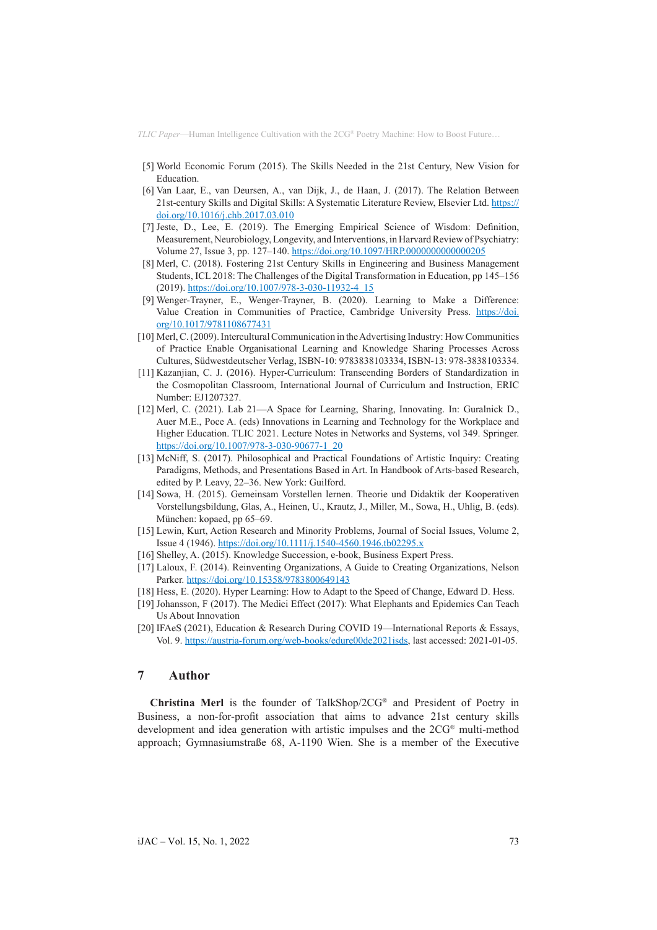- [5] World Economic Forum (2015). The Skills Needed in the 21st Century, New Vision for Education.
- [6] Van Laar, E., van Deursen, A., van Dijk, J., de Haan, J. (2017). The Relation Between 21st-century Skills and Digital Skills: A Systematic Literature Review, Elsevier Ltd. [https://](https://doi.org/10.1016/j.chb.2017.03.010) [doi.org/10.1016/j.chb.2017.03.010](https://doi.org/10.1016/j.chb.2017.03.010)
- [7] Jeste, D., Lee, E. (2019). The Emerging Empirical Science of Wisdom: Definition, Measurement, Neurobiology, Longevity, and Interventions, in Harvard Review of Psychiatry: Volume 27, Issue 3, pp. 127–140. <https://doi.org/10.1097/HRP.0000000000000205>
- [8] Merl, C. (2018). Fostering 21st Century Skills in Engineering and Business Management Students, ICL 2018: The Challenges of the Digital Transformation in Education, pp 145–156 (2019). [https://doi.org/10.1007/978-3-030-11932-4\\_15](https://doi.org/10.1007/978-3-030-11932-4_15)
- [9] Wenger-Trayner, E., Wenger-Trayner, B. (2020). Learning to Make a Difference: Value Creation in Communities of Practice, Cambridge University Press. [https://doi.](https://doi.org/10.1017/9781108677431) [org/10.1017/9781108677431](https://doi.org/10.1017/9781108677431)
- [10] Merl, C. (2009). Intercultural Communication in the Advertising Industry: How Communities of Practice Enable Organisational Learning and Knowledge Sharing Processes Across Cultures, Südwestdeutscher Verlag, ISBN-10: 9783838103334, ISBN-13: 978-3838103334.
- [11] Kazanjian, C. J. (2016). Hyper-Curriculum: Transcending Borders of Standardization in the Cosmopolitan Classroom, International Journal of Curriculum and Instruction, ERIC Number: EJ1207327.
- [12] Merl, C. (2021). Lab 21—A Space for Learning, Sharing, Innovating. In: Guralnick D., Auer M.E., Poce A. (eds) Innovations in Learning and Technology for the Workplace and Higher Education. TLIC 2021. Lecture Notes in Networks and Systems, vol 349. Springer. [https://doi.org/10.1007/978-3-030-90677-1\\_20](https://doi.org/10.1007/978-3-030-90677-1_20)
- [13] McNiff, S. (2017). Philosophical and Practical Foundations of Artistic Inquiry: Creating Paradigms, Methods, and Presentations Based in Art. In Handbook of Arts-based Research, edited by P. Leavy, 22–36. New York: Guilford.
- [14] Sowa, H. (2015). Gemeinsam Vorstellen lernen. Theorie und Didaktik der Kooperativen Vorstellungsbildung, Glas, A., Heinen, U., Krautz, J., Miller, M., Sowa, H., Uhlig, B. (eds). München: kopaed, pp 65–69.
- [15] Lewin, Kurt, Action Research and Minority Problems, Journal of Social Issues, Volume 2, Issue 4 (1946). <https://doi.org/10.1111/j.1540-4560.1946.tb02295.x>
- [16] Shelley, A. (2015). Knowledge Succession, e-book, Business Expert Press.
- [17] Laloux, F. (2014). Reinventing Organizations, A Guide to Creating Organizations, Nelson Parker. <https://doi.org/10.15358/9783800649143>
- [18] Hess, E. (2020). Hyper Learning: How to Adapt to the Speed of Change, Edward D. Hess.
- [19] Johansson, F (2017). The Medici Effect (2017): What Elephants and Epidemics Can Teach Us About Innovation
- [20] IFAeS (2021), Education & Research During COVID 19—International Reports & Essays, Vol. 9. [https://austria-forum.org/web-books/edure00de2021isds,](https://austria-forum.org/web-books/edure00de2021isds) last accessed: 2021-01-05.

# **7 Author**

**Christina Merl** is the founder of TalkShop/2CG® and President of Poetry in Business, a non-for-profit association that aims to advance 21st century skills development and idea generation with artistic impulses and the 2CG® multi-method approach; Gymnasiumstraße 68, A-1190 Wien. She is a member of the Executive